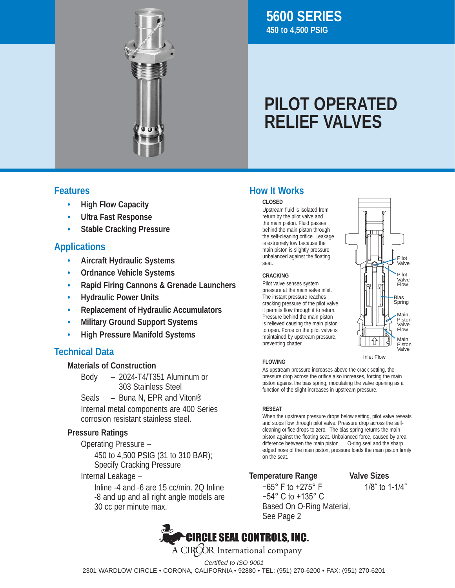

## **5600 SERIES 450 to 4,500 PSIG**

# **PILOT OPERATED RELIEF VALVES**

- **• High Flow Capacity**
- **• Ultra Fast Response**
- **• Stable Cracking Pressure**

## **Applications**

- **• Aircraft Hydraulic Systems**
- **• Ordnance Vehicle Systems**
- **• Rapid Firing Cannons & Grenade Launchers**
- **• Hydraulic Power Units**
- **• Replacement of Hydraulic Accumulators**
- **• Military Ground Support Systems**
- **• High Pressure Manifold Systems**

## **Technical Data**

## **Materials of Construction**

- Body – 2024-T4/T351 Aluminum or 303 Stainless Steel
- Seals Buna N, EPR and Viton<sup>®</sup> Internal metal components are 400 Series corrosion resistant stainless steel.

## **Pressure Ratings**

**Operating Pressure -**

 450 to 4,500 PSIG (31 to 310 BAR); Specify Cracking Pressure

 Internal Leakage –

 Inline -4 and -6 are 15 cc/min. 2Q Inline -8 and up and all right angle models are 30 cc per minute max.

## **Features How It Works**

### **CLOSED**

Upstream fluid is isolated from return by the pilot valve and the main piston. Fluid passes behind the main piston through the self-cleaning orifice. Leakage is extremely low because the main piston is slightly pressure unbalanced against the floating seat.

#### **CRACKING**

Pilot valve senses system pressure at the main valve inlet. The instant pressure reaches cracking pressure of the pilot valve it permits flow through it to return. Pressure behind the main piston is relieved causing the main piston to open. Force on the pilot valve is maintained by upstream pressure, preventing chatter.



#### **FLOWING**

As upstream pressure increases above the crack setting, the pressure drop across the orifice also increases, forcing the main piston against the bias spring, modulating the valve opening as a function of the slight increases in upstream pressure.

## **RESEAT**

When the upstream pressure drops below setting, pilot valve reseats and stops flow through pilot valve. Pressure drop across the selfcleaning orifice drops to zero. The bias spring returns the main piston against the floating seat. Unbalanced force, caused by area difference between the main piston O-ring seal and the sharp edged nose of the main piston, pressure loads the main piston firmly on the seat.

## **Temperature Range Valve Sizes**

−65° F to +275° F 1/8˝ to 1-1/4˝ −54° C to +135° C Based On O-Ring Material, See Page 2



*Certified to ISO 9001* 2301 WARDLOW CIRCLE • CORONA, CALIFORNIA • 92880 • TEL: (951) 270-6200 • FAX: (951) 270-6201

Inlet Flow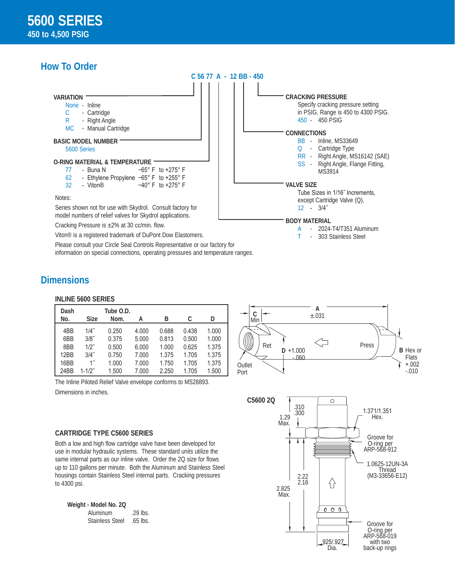## **How To Order**



## **Dimensions**

#### **INLINE 5600 SERIES**

| Dash<br>No. | <b>Size</b>        | Tube O.D.<br>Nom. | А     | B     | C     | D     |
|-------------|--------------------|-------------------|-------|-------|-------|-------|
| 4BB         | 1/4"               | 0.250             | 4.000 | 0.688 | 0.438 | 1.000 |
| 6BB         | 3/8"               | 0.375             | 5.000 | 0.813 | 0.500 | 1.000 |
| 8BB         | $1/2$ "            | 0.500             | 6.000 | 1.000 | 0.625 | 1.375 |
| 12BB        | 3/4"               | 0.750             | 7.000 | 1.375 | 1.705 | 1.375 |
| 16BB        | $1^{\prime\prime}$ | 1.000             | 7.000 | 1.750 | 1.705 | 1.375 |
| 24BB        | $1 - 1/2"$         | 1.500             | 7.000 | 2.250 | 1.705 | 1.500 |

information on special connections, operating pressures and temperature ranges.

The Inline Piloted Relief Valve envelope conforms to MS28893. Dimensions in inches.

#### **CARTRIDGE TYPE C5600 SERIES**

Both a low and high flow cartridge valve have been developed for use in modular hydraulic systems. These standard units utilize the same internal parts as our inline valve. Order the 2Q size for flows up to 110 gallons per minute. Both the Aluminum and Stainless Steel housings contain Stainless Steel internal parts. Cracking pressures to 4300 psi.

**Weight - Model No. 2Q** Aluminum .29 lbs. Stainless Steel .65 lbs.



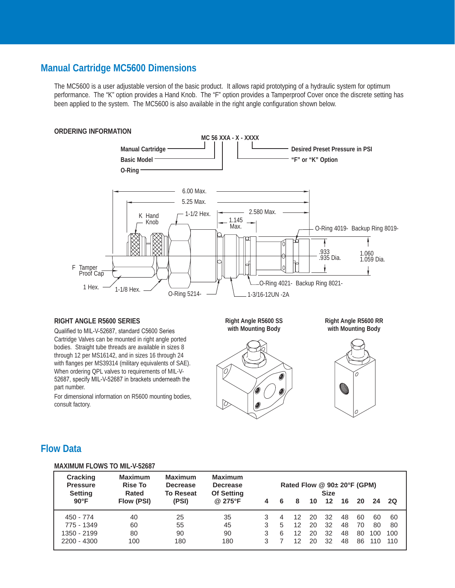## **Manual Cartridge MC5600 Dimensions**

The MC5600 is a user adjustable version of the basic product. It allows rapid prototyping of a hydraulic system for optimum performance. The "K" option provides a Hand Knob. The "F" option provides a Tamperproof Cover once the discrete setting has been applied to the system. The MC5600 is also available in the right angle configuration shown below.



#### **RIGHT ANGLE R5600 SERIES**

Qualified to MIL-V-52687, standard C5600 Series Cartridge Valves can be mounted in right angle ported bodies. Straight tube threads are available in sizes 8 through 12 per MS16142, and in sizes 16 through 24 with flanges per MS39314 (military equivalents of SAE). When ordering QPL valves to requirements of MIL-V-52687, specify MIL-V-52687 in brackets underneath the part number.

For dimensional information on R5600 mounting bodies, consult factory.

**Right Angle R5600 SS with Mounting Body**







## **Flow Data**

#### **MAXIMUM FLOWS TO MIL-V-52687**

| <b>Cracking</b><br><b>Pressure</b><br><b>Setting</b><br>$90^{\circ}$ F | <b>Maximum</b><br><b>Rise To</b><br>Rated<br>Flow (PSI) | <b>Maximum</b><br><b>Decrease</b><br><b>To Reseat</b><br>(PSI) | <b>Maximum</b><br><b>Decrease</b><br><b>Of Setting</b><br>@ 275°F |   | 6      | Rated Flow @ 90± 20°F (GPM)<br>8 | 10                   | <b>Size</b><br>$12 \,$ | 16                   | 20                   | 24                     | <b>2Q</b>              |
|------------------------------------------------------------------------|---------------------------------------------------------|----------------------------------------------------------------|-------------------------------------------------------------------|---|--------|----------------------------------|----------------------|------------------------|----------------------|----------------------|------------------------|------------------------|
| 450 - 774<br>775 - 1349<br>1350 - 2199<br>$2200 - 4300$                | 40<br>60<br>80<br>100                                   | 25<br>55<br>90<br>180                                          | 35<br>45<br>90<br>180                                             | 3 | 5<br>6 | 12<br>12<br>12<br>12             | 20<br>20<br>20<br>20 | 32<br>32<br>32<br>32   | 48<br>48<br>48<br>48 | 60<br>70<br>80<br>86 | 60<br>80<br>100<br>110 | 60<br>80<br>100<br>110 |